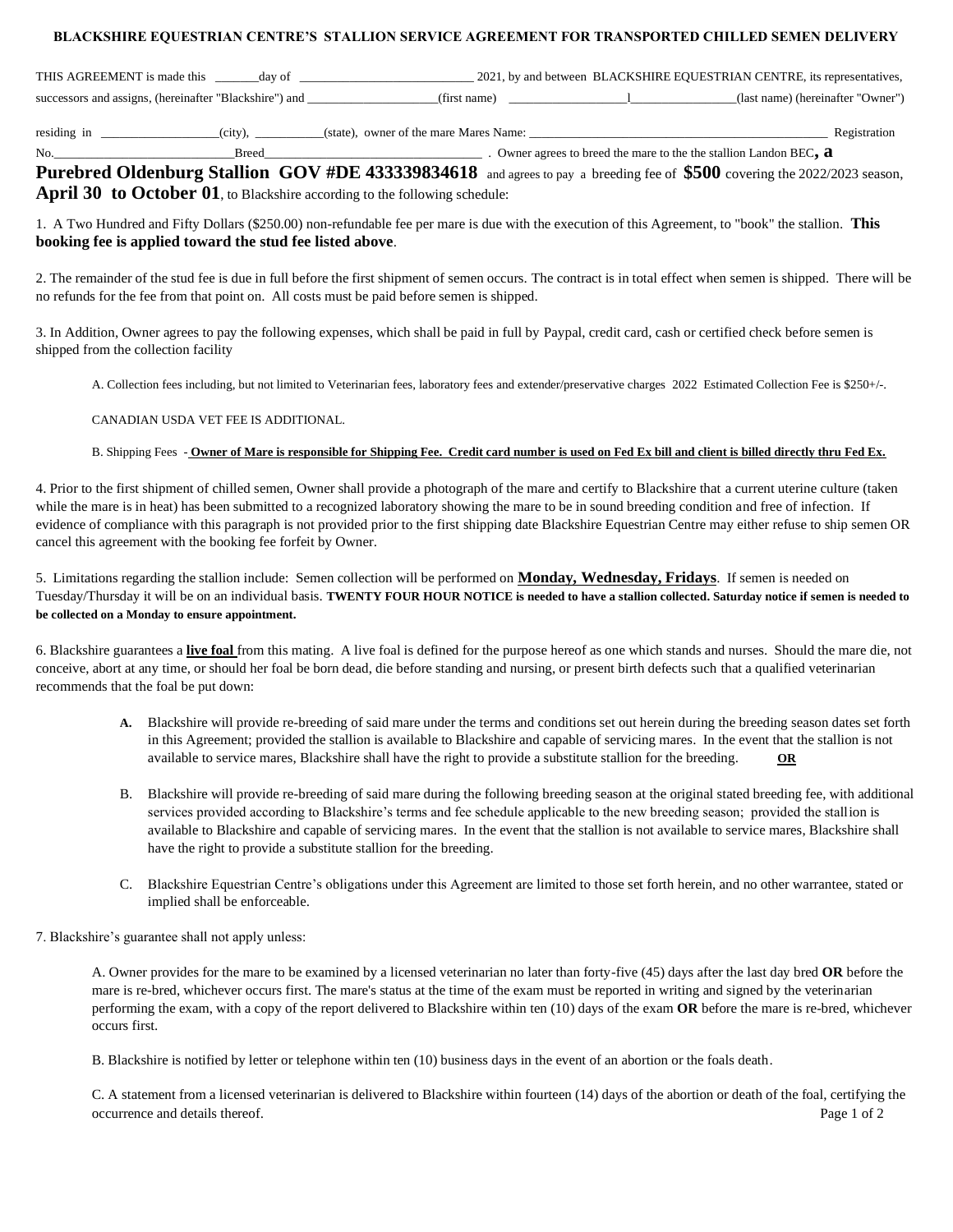## **BLACKSHIRE EQUESTRIAN CENTRE'S STALLION SERVICE AGREEMENT FOR TRANSPORTED CHILLED SEMEN DELIVERY**

| THIS AGREEMENT is made this                               | -dav of |              | 2021, by and between BLACKSHIRE EQUESTRIAN CENTRE, its representatives, |
|-----------------------------------------------------------|---------|--------------|-------------------------------------------------------------------------|
| successors and assigns, (hereinafter "Blackshire") and __ |         | (first name) | (last name) (hereinafter "Owner")                                       |

residing in \_\_\_\_\_\_\_\_\_\_\_\_\_\_\_\_\_\_\_(city), \_\_\_\_\_\_\_\_\_\_\_(state), owner of the mare Mares Name: \_\_\_\_\_\_\_\_\_\_\_\_\_\_\_\_\_\_\_\_\_\_\_\_\_\_\_\_\_\_\_\_\_\_\_\_\_\_\_\_\_\_\_\_\_\_\_\_ Registration

No.\_\_\_\_\_\_\_\_\_\_\_\_\_\_\_\_\_\_\_\_\_\_\_\_\_\_\_\_\_Breed\_\_\_\_\_\_\_\_\_\_\_\_\_\_\_\_\_\_\_\_\_\_\_\_\_\_\_\_\_\_\_\_\_\_\_ . Owner agrees to breed the mare to the the stallion Landon BEC**, a** 

**Purebred Oldenburg Stallion GOV #DE 433339834618** and agrees to pay a breeding fee of **\$500** covering the 2022/2023 season, **April 30 to October 01**, to Blackshire according to the following schedule:

1. A Two Hundred and Fifty Dollars (\$250.00) non-refundable fee per mare is due with the execution of this Agreement, to "book" the stallion. **This booking fee is applied toward the stud fee listed above**.

2. The remainder of the stud fee is due in full before the first shipment of semen occurs. The contract is in total effect when semen is shipped. There will be no refunds for the fee from that point on. All costs must be paid before semen is shipped.

3. In Addition, Owner agrees to pay the following expenses, which shall be paid in full by Paypal, credit card, cash or certified check before semen is shipped from the collection facility

A. Collection fees including, but not limited to Veterinarian fees, laboratory fees and extender/preservative charges 2022 Estimated Collection Fee is \$250+/-.

## CANADIAN USDA VET FEE IS ADDITIONAL.

## B. Shipping Fees - **Owner of Mare is responsible for Shipping Fee. Credit card number is used on Fed Ex bill and client is billed directly thru Fed Ex.**

4. Prior to the first shipment of chilled semen, Owner shall provide a photograph of the mare and certify to Blackshire that a current uterine culture (taken while the mare is in heat) has been submitted to a recognized laboratory showing the mare to be in sound breeding condition and free of infection. If evidence of compliance with this paragraph is not provided prior to the first shipping date Blackshire Equestrian Centre may either refuse to ship semen OR cancel this agreement with the booking fee forfeit by Owner.

5. Limitations regarding the stallion include: Semen collection will be performed on **Monday, Wednesday, Fridays**. If semen is needed on Tuesday/Thursday it will be on an individual basis. **TWENTY FOUR HOUR NOTICE is needed to have a stallion collected. Saturday notice if semen is needed to be collected on a Monday to ensure appointment.** 

6. Blackshire guarantees a **live foal** from this mating. A live foal is defined for the purpose hereof as one which stands and nurses. Should the mare die, not conceive, abort at any time, or should her foal be born dead, die before standing and nursing, or present birth defects such that a qualified veterinarian recommends that the foal be put down:

- **A.** Blackshire will provide re-breeding of said mare under the terms and conditions set out herein during the breeding season dates set forth in this Agreement; provided the stallion is available to Blackshire and capable of servicing mares. In the event that the stallion is not available to service mares, Blackshire shall have the right to provide a substitute stallion for the breeding. **OR**
- B. Blackshire will provide re-breeding of said mare during the following breeding season at the original stated breeding fee, with additional services provided according to Blackshire's terms and fee schedule applicable to the new breeding season; provided the stallion is available to Blackshire and capable of servicing mares. In the event that the stallion is not available to service mares, Blackshire shall have the right to provide a substitute stallion for the breeding.
- C. Blackshire Equestrian Centre's obligations under this Agreement are limited to those set forth herein, and no other warrantee, stated or implied shall be enforceable.
- 7. Blackshire's guarantee shall not apply unless:

A. Owner provides for the mare to be examined by a licensed veterinarian no later than forty-five (45) days after the last day bred **OR** before the mare is re-bred, whichever occurs first. The mare's status at the time of the exam must be reported in writing and signed by the veterinarian performing the exam, with a copy of the report delivered to Blackshire within ten (10) days of the exam **OR** before the mare is re-bred, whichever occurs first.

B. Blackshire is notified by letter or telephone within ten (10) business days in the event of an abortion or the foals death.

C. A statement from a licensed veterinarian is delivered to Blackshire within fourteen (14) days of the abortion or death of the foal, certifying the occurrence and details thereof. Page 1 of 2